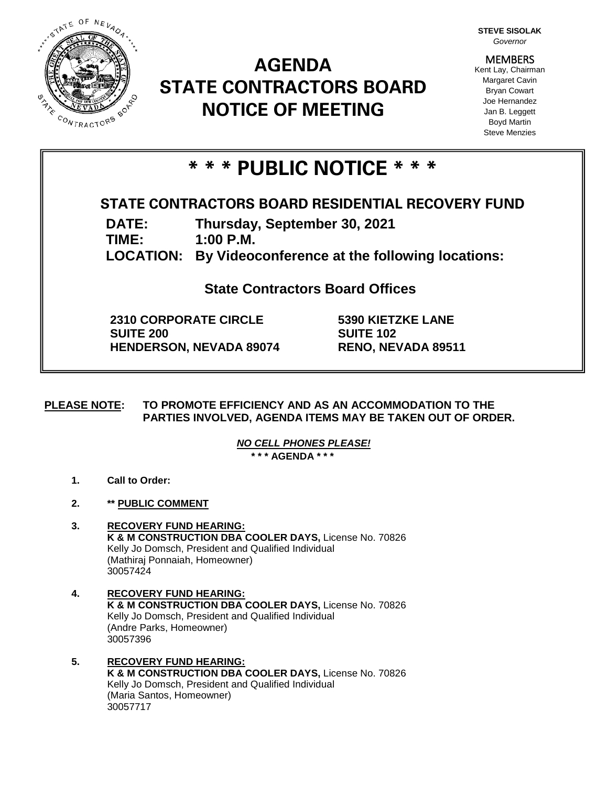

# **AGENDA STATE CONTRACTORS BOARD NOTICE OF MEETING**

**STEVE SISOLAK** *Governor*

**MEMBERS** Kent Lay, Chairman Margaret Cavin Bryan Cowart Joe Hernandez Jan B. Leggett Boyd Martin Steve Menzies

# **\* \* \* PUBLIC NOTICE \* \* \***

# **STATE CONTRACTORS BOARD RESIDENTIAL RECOVERY FUND**

**DATE: Thursday, September 30, 2021**

**TIME: 1:00 P.M.**

**LOCATION: By Videoconference at the following locations:**

**State Contractors Board Offices**

**2310 CORPORATE CIRCLE SUITE 200 HENDERSON, NEVADA 89074** **5390 KIETZKE LANE SUITE 102 RENO, NEVADA 89511**

**PLEASE NOTE: TO PROMOTE EFFICIENCY AND AS AN ACCOMMODATION TO THE PARTIES INVOLVED, AGENDA ITEMS MAY BE TAKEN OUT OF ORDER.**

> *NO CELL PHONES PLEASE!*  **\* \* \* AGENDA \* \* \***

- **1. Call to Order:**
- **2. \*\* PUBLIC COMMENT**
- **3. RECOVERY FUND HEARING: K & M CONSTRUCTION DBA COOLER DAYS,** License No. 70826 Kelly Jo Domsch, President and Qualified Individual (Mathiraj Ponnaiah, Homeowner) 30057424
- **4. RECOVERY FUND HEARING: K & M CONSTRUCTION DBA COOLER DAYS,** License No. 70826 Kelly Jo Domsch, President and Qualified Individual (Andre Parks, Homeowner) 30057396
- **5. RECOVERY FUND HEARING: K & M CONSTRUCTION DBA COOLER DAYS, License No. 70826** Kelly Jo Domsch, President and Qualified Individual (Maria Santos, Homeowner) 30057717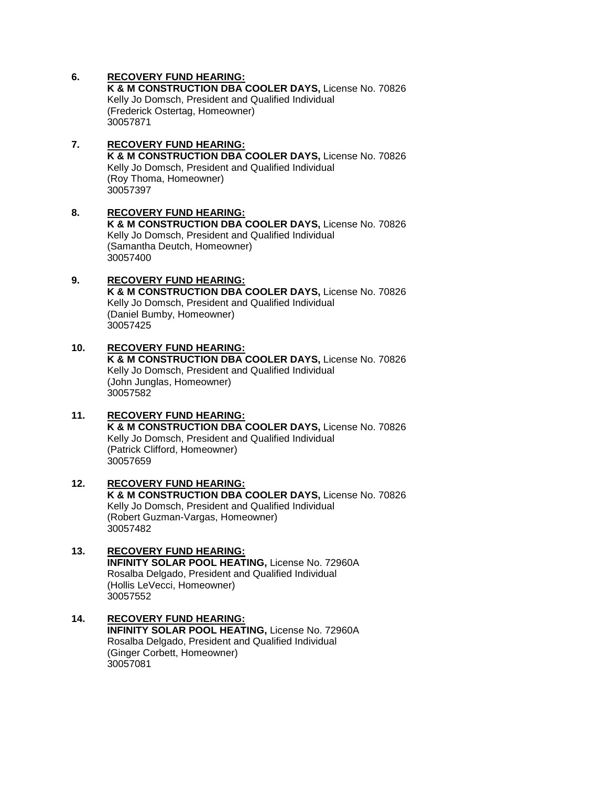# **6. RECOVERY FUND HEARING:**

**K & M CONSTRUCTION DBA COOLER DAYS,** License No. 70826 Kelly Jo Domsch, President and Qualified Individual (Frederick Ostertag, Homeowner) 30057871

#### **7. RECOVERY FUND HEARING: K & M CONSTRUCTION DBA COOLER DAYS,** License No. 70826 Kelly Jo Domsch, President and Qualified Individual (Roy Thoma, Homeowner) 30057397

#### **8. RECOVERY FUND HEARING: K & M CONSTRUCTION DBA COOLER DAYS,** License No. 70826 Kelly Jo Domsch, President and Qualified Individual (Samantha Deutch, Homeowner) 30057400

# **9. RECOVERY FUND HEARING:**

**K & M CONSTRUCTION DBA COOLER DAYS,** License No. 70826 Kelly Jo Domsch, President and Qualified Individual (Daniel Bumby, Homeowner) 30057425

### **10. RECOVERY FUND HEARING: K & M CONSTRUCTION DBA COOLER DAYS,** License No. 70826 Kelly Jo Domsch, President and Qualified Individual (John Junglas, Homeowner) 30057582

## **11. RECOVERY FUND HEARING: K & M CONSTRUCTION DBA COOLER DAYS,** License No. 70826 Kelly Jo Domsch, President and Qualified Individual (Patrick Clifford, Homeowner) 30057659

#### **12. RECOVERY FUND HEARING: K & M CONSTRUCTION DBA COOLER DAYS,** License No. 70826 Kelly Jo Domsch, President and Qualified Individual (Robert Guzman-Vargas, Homeowner) 30057482

## **13. RECOVERY FUND HEARING: INFINITY SOLAR POOL HEATING,** License No. 72960A Rosalba Delgado, President and Qualified Individual (Hollis LeVecci, Homeowner) 30057552

## **14. RECOVERY FUND HEARING: INFINITY SOLAR POOL HEATING,** License No. 72960A Rosalba Delgado, President and Qualified Individual (Ginger Corbett, Homeowner) 30057081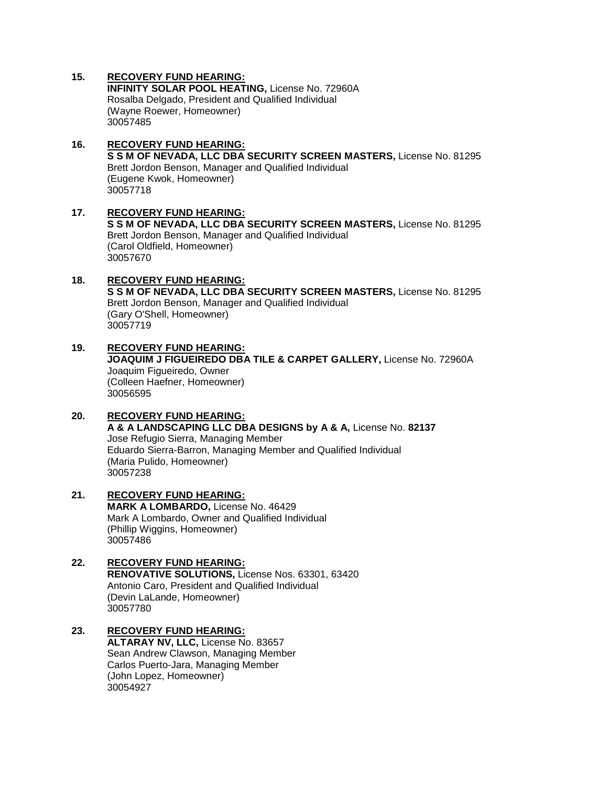# **15. RECOVERY FUND HEARING:**

**INFINITY SOLAR POOL HEATING,** License No. 72960A Rosalba Delgado, President and Qualified Individual (Wayne Roewer, Homeowner) 30057485

- **16. RECOVERY FUND HEARING: S S M OF NEVADA, LLC DBA SECURITY SCREEN MASTERS,** License No. 81295 Brett Jordon Benson, Manager and Qualified Individual (Eugene Kwok, Homeowner) 30057718
- **17. RECOVERY FUND HEARING: S S M OF NEVADA, LLC DBA SECURITY SCREEN MASTERS,** License No. 81295 Brett Jordon Benson, Manager and Qualified Individual (Carol Oldfield, Homeowner) 30057670

#### **18. RECOVERY FUND HEARING: S S M OF NEVADA, LLC DBA SECURITY SCREEN MASTERS,** License No. 81295 Brett Jordon Benson, Manager and Qualified Individual (Gary O'Shell, Homeowner) 30057719

**19. RECOVERY FUND HEARING: JOAQUIM J FIGUEIREDO DBA TILE & CARPET GALLERY,** License No. 72960A Joaquim Figueiredo, Owner (Colleen Haefner, Homeowner) 30056595

# **20. RECOVERY FUND HEARING: A & A LANDSCAPING LLC DBA DESIGNS by A & A,** License No. **82137** Jose Refugio Sierra, Managing Member Eduardo Sierra-Barron, Managing Member and Qualified Individual (Maria Pulido, Homeowner) 30057238

**21. RECOVERY FUND HEARING: MARK A LOMBARDO,** License No. 46429 Mark A Lombardo, Owner and Qualified Individual (Phillip Wiggins, Homeowner) 30057486

#### **22. RECOVERY FUND HEARING: RENOVATIVE SOLUTIONS,** License Nos. 63301, 63420 Antonio Caro, President and Qualified Individual (Devin LaLande, Homeowner) 30057780

#### **23. RECOVERY FUND HEARING: ALTARAY NV, LLC,** License No. 83657 Sean Andrew Clawson, Managing Member Carlos Puerto-Jara, Managing Member (John Lopez, Homeowner) 30054927